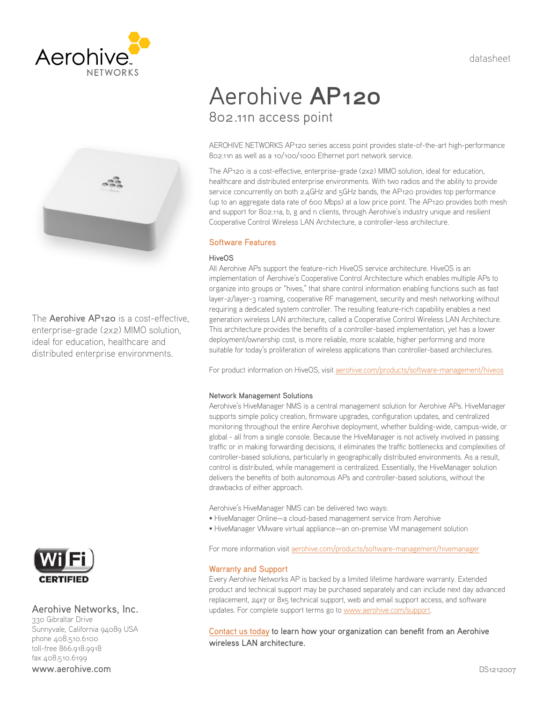datasheet





The **Aerohive AP120** is a cost-effective, enterprise-grade (2x2) MIMO solution, ideal for education, healthcare and distributed enterprise environments.



# Aerohive Networks, Inc.

330 Gibraltar Drive Sunnyvale, California 94089 USA phone 408.510.6100 toll-free 866.918.9918 fax 408.510.6199 www.aerohive.com

# Aerohive **AP120** 802.11n access point

AEROHIVE NETWORKS AP120 series access point provides state-of-the-art high-performance 802.11n as well as a 10/100/1000 Ethernet port network service.

The AP120 is a cost-effective, enterprise-grade (2x2) MIMO solution, ideal for education, healthcare and distributed enterprise environments. With two radios and the ability to provide service concurrently on both 2.4GHz and 5GHz bands, the AP120 provides top performance (up to an aggregate data rate of 600 Mbps) at a low price point. The AP120 provides both mesh and support for 802.11a, b, g and n clients, through Aerohive's industry unique and resilient Cooperative Control Wireless LAN Architecture, a controller-less architecture.

# Software Features

## HiveOS

All Aerohive APs support the feature-rich HiveOS service architecture. HiveOS is an implementation of Aerohive's Cooperative Control Architecture which enables multiple APs to organize into groups or "hives," that share control information enabling functions such as fast layer-2/layer-3 roaming, cooperative RF management, security and mesh networking without requiring a dedicated system controller. The resulting feature-rich capability enables a next generation wireless LAN architecture, called a Cooperative Control Wireless LAN Architecture. This architecture provides the benefits of a controller-based implementation, yet has a lower deployment/ownership cost, is more reliable, more scalable, higher performing and more suitable for today's proliferation of wireless applications than controller-based architectures.

For product information on HiveOS, visit [aerohive.com/products/software-management/hiveos](http://www.aerohive.com/products/software-management/hiveos)

## Network Management Solutions

Aerohive's HiveManager NMS is a central management solution for Aerohive APs. HiveManager supports simple policy creation, firmware upgrades, configuration updates, and centralized monitoring throughout the entire Aerohive deployment, whether building-wide, campus-wide, or global - all from a single console. Because the HiveManager is not actively involved in passing traffic or in making forwarding decisions, it eliminates the traffic bottlenecks and complexities of controller-based solutions, particularly in geographically distributed environments. As a result, control is distributed, while management is centralized. Essentially, the HiveManager solution delivers the benefits of both autonomous APs and controller-based solutions, without the drawbacks of either approach.

Aerohive's HiveManager NMS can be delivered two ways:

- HiveManager Online—a cloud-based management service from Aerohive
- HiveManager VMware virtual appliance—an on-premise VM management solution

For more information visit [aerohive.com/products/software-management/hivemanager](http://www.aerohive.com/products/software-management/hivemanager)

## Warranty and Support

Every Aerohive Networks AP is backed by a limited lifetime hardware warranty. Extended product and technical support may be purchased separately and can include next day advanced replacement, 24x7 or 8x5 technical support, web and email support access, and software updates. For complete support terms go to [www.aerohive.com/support](http://www.aerohive.com/support).

[Contact us today](http://www.aerohive.com/contact-us/) to learn how your organization can benefit from an Aerohive wireless LAN architecture.